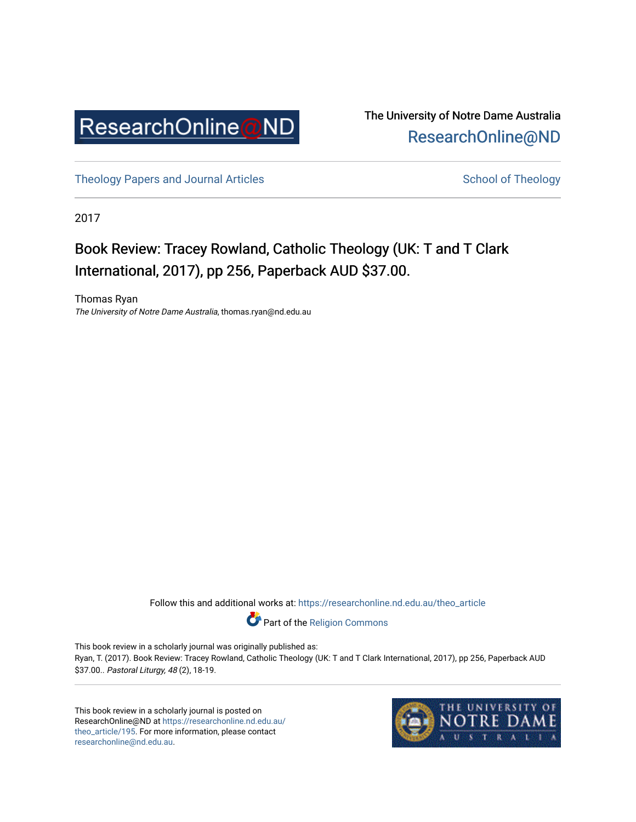

The University of Notre Dame Australia [ResearchOnline@ND](https://researchonline.nd.edu.au/) 

[Theology Papers and Journal Articles](https://researchonline.nd.edu.au/theo_article) and [School of Theology](https://researchonline.nd.edu.au/theo) School of Theology

2017

## Book Review: Tracey Rowland, Catholic Theology (UK: T and T Clark International, 2017), pp 256, Paperback AUD \$37.00.

Thomas Ryan The University of Notre Dame Australia, thomas.ryan@nd.edu.au

Follow this and additional works at: [https://researchonline.nd.edu.au/theo\\_article](https://researchonline.nd.edu.au/theo_article?utm_source=researchonline.nd.edu.au%2Ftheo_article%2F195&utm_medium=PDF&utm_campaign=PDFCoverPages) 

Part of the [Religion Commons](http://network.bepress.com/hgg/discipline/538?utm_source=researchonline.nd.edu.au%2Ftheo_article%2F195&utm_medium=PDF&utm_campaign=PDFCoverPages) 

This book review in a scholarly journal was originally published as: Ryan, T. (2017). Book Review: Tracey Rowland, Catholic Theology (UK: T and T Clark International, 2017), pp 256, Paperback AUD \$37.00.. Pastoral Liturgy, 48 (2), 18-19.

This book review in a scholarly journal is posted on ResearchOnline@ND at [https://researchonline.nd.edu.au/](https://researchonline.nd.edu.au/theo_article/195) [theo\\_article/195](https://researchonline.nd.edu.au/theo_article/195). For more information, please contact [researchonline@nd.edu.au.](mailto:researchonline@nd.edu.au)

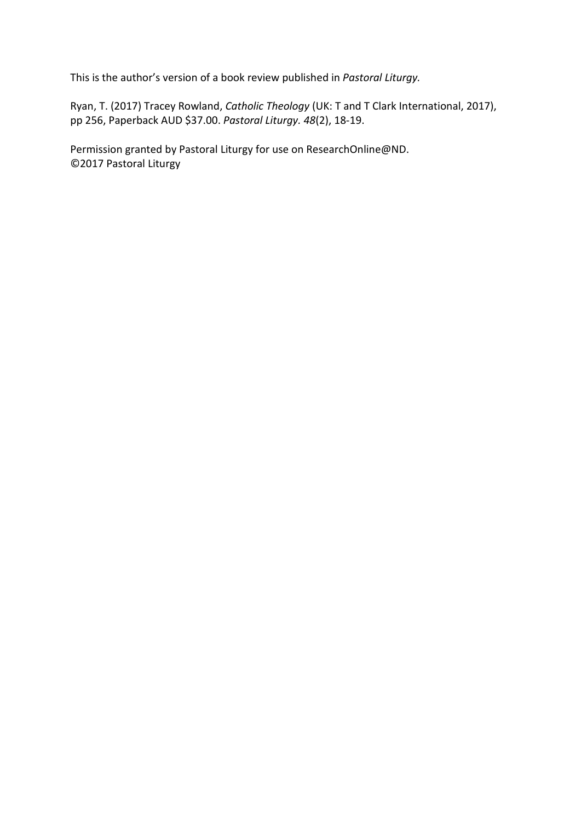This is the author's version of a book review published in *Pastoral Liturgy.*

Ryan, T. (2017) Tracey Rowland, *Catholic Theology* (UK: T and T Clark International, 2017), pp 256, Paperback AUD \$37.00. *Pastoral Liturgy. 48*(2), 18-19.

Permission granted by Pastoral Liturgy for use on ResearchOnline@ND. ©2017 Pastoral Liturgy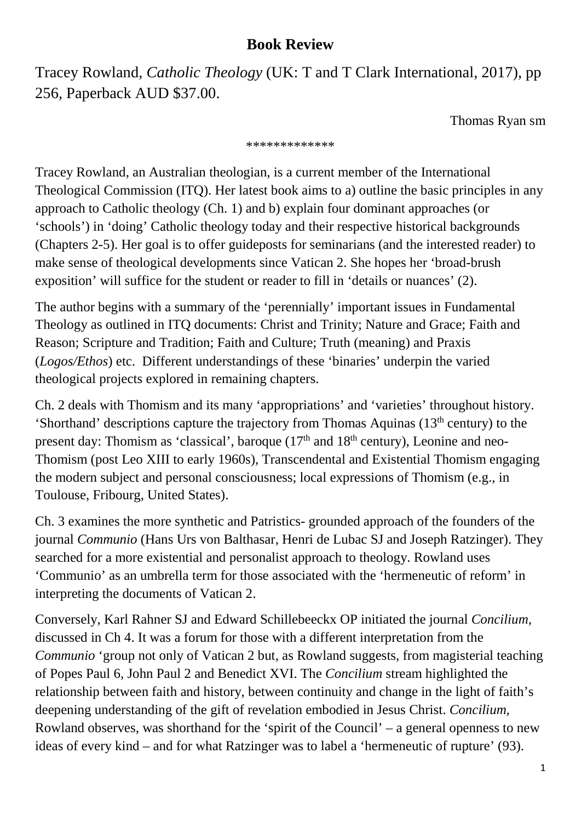## **Book Review**

Tracey Rowland, *Catholic Theology* (UK: T and T Clark International, 2017), pp 256, Paperback AUD \$37.00.

Thomas Ryan sm

## \*\*\*\*\*\*\*\*\*\*\*\*\*

Tracey Rowland, an Australian theologian, is a current member of the International Theological Commission (ITQ). Her latest book aims to a) outline the basic principles in any approach to Catholic theology (Ch. 1) and b) explain four dominant approaches (or 'schools') in 'doing' Catholic theology today and their respective historical backgrounds (Chapters 2-5). Her goal is to offer guideposts for seminarians (and the interested reader) to make sense of theological developments since Vatican 2. She hopes her 'broad-brush exposition' will suffice for the student or reader to fill in 'details or nuances' (2).

The author begins with a summary of the 'perennially' important issues in Fundamental Theology as outlined in ITQ documents: Christ and Trinity; Nature and Grace; Faith and Reason; Scripture and Tradition; Faith and Culture; Truth (meaning) and Praxis (*Logos/Ethos*) etc. Different understandings of these 'binaries' underpin the varied theological projects explored in remaining chapters.

Ch. 2 deals with Thomism and its many 'appropriations' and 'varieties' throughout history. 'Shorthand' descriptions capture the trajectory from Thomas Aquinas  $(13<sup>th</sup>$  century) to the present day: Thomism as 'classical', baroque  $(17<sup>th</sup>$  and  $18<sup>th</sup>$  century), Leonine and neo-Thomism (post Leo XIII to early 1960s), Transcendental and Existential Thomism engaging the modern subject and personal consciousness; local expressions of Thomism (e.g., in Toulouse, Fribourg, United States).

Ch. 3 examines the more synthetic and Patristics- grounded approach of the founders of the journal *Communio* (Hans Urs von Balthasar, Henri de Lubac SJ and Joseph Ratzinger). They searched for a more existential and personalist approach to theology. Rowland uses 'Communio' as an umbrella term for those associated with the 'hermeneutic of reform' in interpreting the documents of Vatican 2.

Conversely, Karl Rahner SJ and Edward Schillebeeckx OP initiated the journal *Concilium,*  discussed in Ch 4. It was a forum for those with a different interpretation from the *Communio* 'group not only of Vatican 2 but, as Rowland suggests, from magisterial teaching of Popes Paul 6, John Paul 2 and Benedict XVI. The *Concilium* stream highlighted the relationship between faith and history, between continuity and change in the light of faith's deepening understanding of the gift of revelation embodied in Jesus Christ. *Concilium,* Rowland observes, was shorthand for the 'spirit of the Council' – a general openness to new ideas of every kind – and for what Ratzinger was to label a 'hermeneutic of rupture' (93).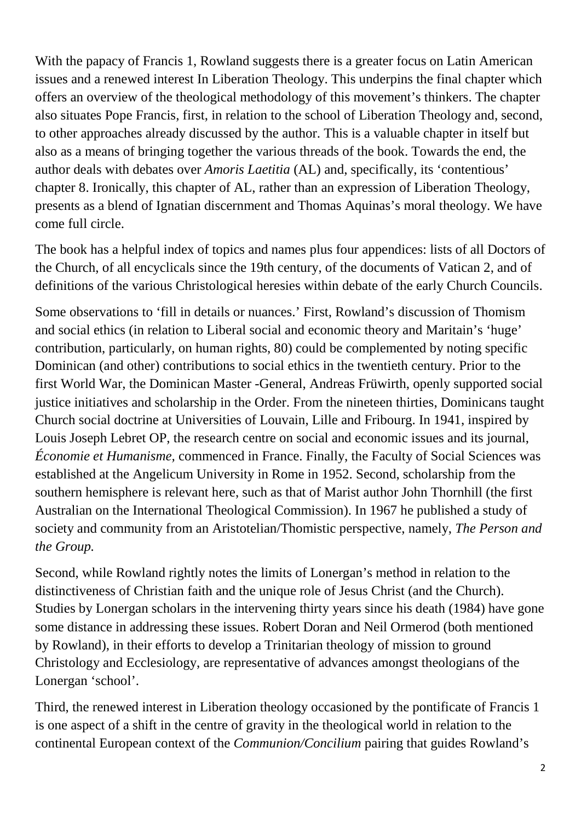With the papacy of Francis 1, Rowland suggests there is a greater focus on Latin American issues and a renewed interest In Liberation Theology. This underpins the final chapter which offers an overview of the theological methodology of this movement's thinkers. The chapter also situates Pope Francis, first, in relation to the school of Liberation Theology and, second, to other approaches already discussed by the author. This is a valuable chapter in itself but also as a means of bringing together the various threads of the book. Towards the end, the author deals with debates over *Amoris Laetitia* (AL) and, specifically, its 'contentious' chapter 8. Ironically, this chapter of AL, rather than an expression of Liberation Theology, presents as a blend of Ignatian discernment and Thomas Aquinas's moral theology. We have come full circle.

The book has a helpful index of topics and names plus four appendices: lists of all Doctors of the Church, of all encyclicals since the 19th century, of the documents of Vatican 2, and of definitions of the various Christological heresies within debate of the early Church Councils.

Some observations to 'fill in details or nuances.' First, Rowland's discussion of Thomism and social ethics (in relation to Liberal social and economic theory and Maritain's 'huge' contribution, particularly, on human rights, 80) could be complemented by noting specific Dominican (and other) contributions to social ethics in the twentieth century. Prior to the first World War, the Dominican Master -General, Andreas Früwirth, openly supported social justice initiatives and scholarship in the Order. From the nineteen thirties, Dominicans taught Church social doctrine at Universities of Louvain, Lille and Fribourg. In 1941, inspired by Louis Joseph Lebret OP, the research centre on social and economic issues and its journal, *Économie et Humanisme,* commenced in France. Finally, the Faculty of Social Sciences was established at the Angelicum University in Rome in 1952. Second, scholarship from the southern hemisphere is relevant here, such as that of Marist author John Thornhill (the first Australian on the International Theological Commission). In 1967 he published a study of society and community from an Aristotelian/Thomistic perspective, namely, *The Person and the Group.*

Second, while Rowland rightly notes the limits of Lonergan's method in relation to the distinctiveness of Christian faith and the unique role of Jesus Christ (and the Church). Studies by Lonergan scholars in the intervening thirty years since his death (1984) have gone some distance in addressing these issues. Robert Doran and Neil Ormerod (both mentioned by Rowland), in their efforts to develop a Trinitarian theology of mission to ground Christology and Ecclesiology, are representative of advances amongst theologians of the Lonergan 'school'.

Third, the renewed interest in Liberation theology occasioned by the pontificate of Francis 1 is one aspect of a shift in the centre of gravity in the theological world in relation to the continental European context of the *Communion/Concilium* pairing that guides Rowland's